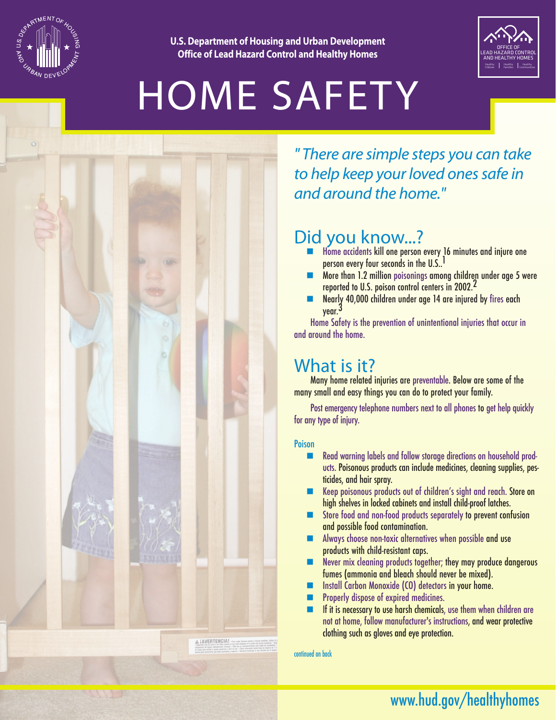

**U.S. Department of Housing and Urban Development Office of Lead Hazard Control and Healthy Homes**



# HOME SAFETY



*" There are simple steps you can take to help keep your loved ones safe in and around the home."* 

## Did you know...?

- $\blacksquare$  Home accidents kill one person every 16 minutes and injure one person every four seconds in the U.S..<sup>1</sup>
- $\blacksquare$  More than 1.2 million poisonings among children under age 5 were reported to U.S. poison control centers in 2002.<sup>2</sup>
- n Nearly 40,000 children under age 14 are injured by fires each year.<sup>3</sup>

Home Safety is the prevention of unintentional injuries that occur in and around the home.

### What is it?

Many home related injuries are preventable. Below are some of the many small and easy things you can do to protect your family.

Post emergency telephone numbers next to all phones to get help quickly for any type of injury.

#### Poison

- n Read warning labels and follow storage directions on household products. Poisonous products can include medicines, cleaning supplies, pesticides, and hair spray.
- Keep poisonous products out of children's sight and reach. Store on high shelves in locked cabinets and install child-proof latches.
- Store food and non-food products separately to prevent confusion and possible food contamination.
- $\blacksquare$  Always choose non-toxic alternatives when possible and use products with child-resistant caps.
- $\blacksquare$  Never mix cleaning products together; they may produce dangerous fumes (ammonia and bleach should never be mixed).
- Install Carbon Monoxide (CO) detectors in your home.
- Properly dispose of expired medicines.
- $\blacksquare$  If it is necessary to use harsh chemicals, use them when children are not at home, follow manufacturer's instructions, and wear protective clothing such as gloves and eye protection.

continued on back

## www.hud.gov/healthyhomes